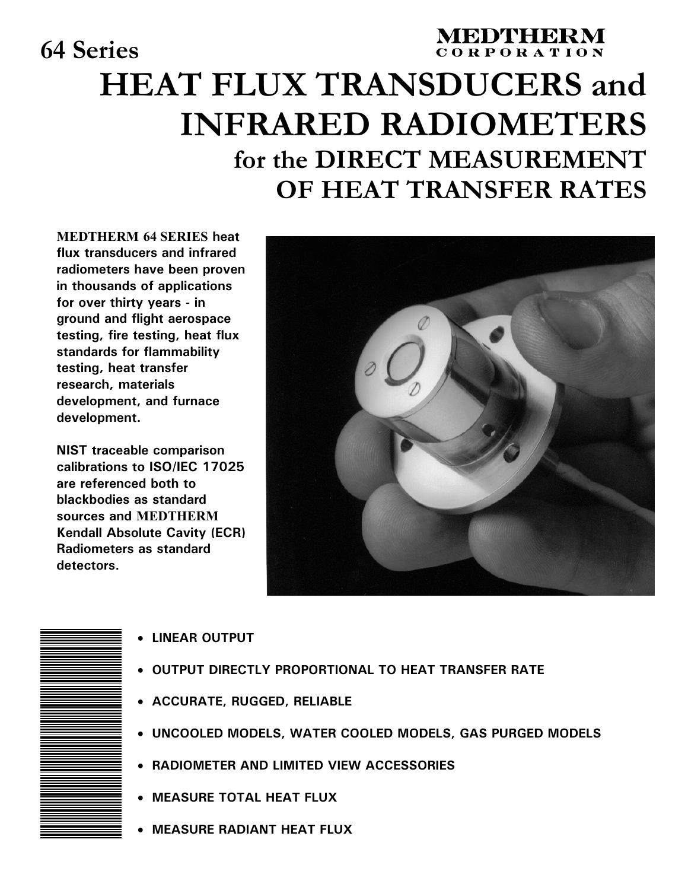# **64 Series CORPORATION HEAT FLUX TRANSDUCERS and INFRARED RADIOMETERS for the DIRECT MEASUREMENT OF HEAT TRANSFER RATES**

**MEDTHERM 64 SERIES heat flux transducers and infrared radiometers have been proven in thousands of applications for over thirty years - in ground and flight aerospace testing, fire testing, heat flux standards for flammability testing, heat transfer research, materials development, and furnace development.**

**NIST traceable comparison calibrations to ISO/IEC 17025 are referenced both to blackbodies as standard sources and MEDTHERM Kendall Absolute Cavity (ECR) Radiometers as standard detectors.**





- • **LINEAR OUTPUT**
- • **OUTPUT DIRECTLY PROPORTIONAL TO HEAT TRANSFER RATE**
- • **ACCURATE, RUGGED, RELIABLE**
- • **UNCOOLED MODELS, WATER COOLED MODELS, GAS PURGED MODELS**
- • **RADIOMETER AND LIMITED VIEW ACCESSORIES**
- • **MEASURE TOTAL HEAT FLUX**
- • **MEASURE RADIANT HEAT FLUX**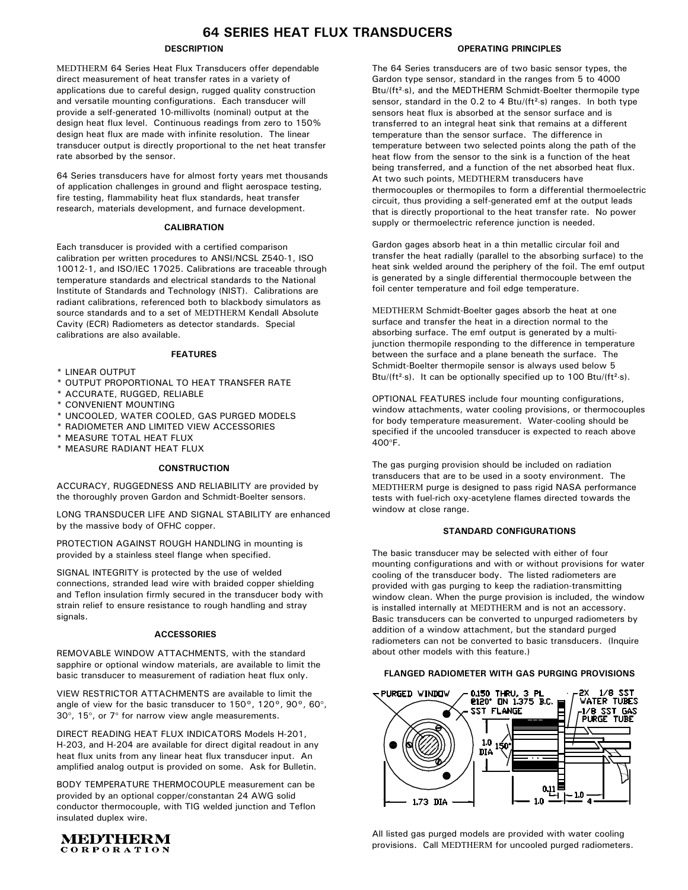# **64 SERIES HEAT FLUX TRANSDUCERS**

## **DESCRIPTION**

MEDTHERM 64 Series Heat Flux Transducers offer dependable direct measurement of heat transfer rates in a variety of applications due to careful design, rugged quality construction and versatile mounting configurations. Each transducer will provide a self-generated 10-millivolts (nominal) output at the design heat flux level. Continuous readings from zero to 150% design heat flux are made with infinite resolution. The linear transducer output is directly proportional to the net heat transfer rate absorbed by the sensor.

64 Series transducers have for almost forty years met thousands of application challenges in ground and flight aerospace testing, fire testing, flammability heat flux standards, heat transfer research, materials development, and furnace development.

### **CALIBRATION**

Each transducer is provided with a certified comparison calibration per written procedures to ANSI/NCSL Z540-1, ISO 10012-1, and ISO/IEC 17025. Calibrations are traceable through temperature standards and electrical standards to the National Institute of Standards and Technology (NIST). Calibrations are radiant calibrations, referenced both to blackbody simulators as source standards and to a set of MEDTHERM Kendall Absolute Cavity (ECR) Radiometers as detector standards. Special calibrations are also available.

#### **FEATURES**

- \* LINEAR OUTPUT
- \* OUTPUT PROPORTIONAL TO HEAT TRANSFER RATE
- \* ACCURATE, RUGGED, RELIABLE
- \* CONVENIENT MOUNTING
- \* UNCOOLED, WATER COOLED, GAS PURGED MODELS
- \* RADIOMETER AND LIMITED VIEW ACCESSORIES
- \* MEASURE TOTAL HEAT FLUX
- \* MEASURE RADIANT HEAT FLUX

#### **CONSTRUCTION**

ACCURACY, RUGGEDNESS AND RELIABILITY are provided by the thoroughly proven Gardon and Schmidt-Boelter sensors.

LONG TRANSDUCER LIFE AND SIGNAL STABILITY are enhanced by the massive body of OFHC copper.

PROTECTION AGAINST ROUGH HANDLING in mounting is provided by a stainless steel flange when specified.

SIGNAL INTEGRITY is protected by the use of welded connections, stranded lead wire with braided copper shielding and Teflon insulation firmly secured in the transducer body with strain relief to ensure resistance to rough handling and stray signals.

#### **ACCESSORIES**

REMOVABLE WINDOW ATTACHMENTS, with the standard sapphire or optional window materials, are available to limit the basic transducer to measurement of radiation heat flux only.

VIEW RESTRICTOR ATTACHMENTS are available to limit the angle of view for the basic transducer to 150°, 120°, 90°, 60°, 30°, 15°, or 7° for narrow view angle measurements.

DIRECT READING HEAT FLUX INDICATORS Models H-201, H-203, and H-204 are available for direct digital readout in any heat flux units from any linear heat flux transducer input. An amplified analog output is provided on some. Ask for Bulletin.

BODY TEMPERATURE THERMOCOUPLE measurement can be provided by an optional copper/constantan 24 AWG solid conductor thermocouple, with TIG welded junction and Teflon insulated duplex wire.



#### **OPERATING PRINCIPLES**

The 64 Series transducers are of two basic sensor types, the Gardon type sensor, standard in the ranges from 5 to 4000 Btu/(ft<sup>2</sup>⋅s), and the MEDTHERM Schmidt-Boelter thermopile type sensor, standard in the 0.2 to 4 Btu/(ft<sup>2</sup>⋅s) ranges. In both type sensors heat flux is absorbed at the sensor surface and is transferred to an integral heat sink that remains at a different temperature than the sensor surface. The difference in temperature between two selected points along the path of the heat flow from the sensor to the sink is a function of the heat being transferred, and a function of the net absorbed heat flux. At two such points, MEDTHERM transducers have thermocouples or thermopiles to form a differential thermoelectric circuit, thus providing a self-generated emf at the output leads that is directly proportional to the heat transfer rate. No power supply or thermoelectric reference junction is needed.

Gardon gages absorb heat in a thin metallic circular foil and transfer the heat radially (parallel to the absorbing surface) to the heat sink welded around the periphery of the foil. The emf output is generated by a single differential thermocouple between the foil center temperature and foil edge temperature.

MEDTHERM Schmidt-Boelter gages absorb the heat at one surface and transfer the heat in a direction normal to the absorbing surface. The emf output is generated by a multijunction thermopile responding to the difference in temperature between the surface and a plane beneath the surface. The Schmidt-Boelter thermopile sensor is always used below 5 Btu/(ft<sup>2</sup>⋅s). It can be optionally specified up to 100 Btu/(ft<sup>2</sup>⋅s).

OPTIONAL FEATURES include four mounting configurations, window attachments, water cooling provisions, or thermocouples for body temperature measurement. Water-cooling should be specified if the uncooled transducer is expected to reach above 400°F.

The gas purging provision should be included on radiation transducers that are to be used in a sooty environment. The MEDTHERM purge is designed to pass rigid NASA performance tests with fuel-rich oxy-acetylene flames directed towards the window at close range.

#### **STANDARD CONFIGURATIONS**

The basic transducer may be selected with either of four mounting configurations and with or without provisions for water cooling of the transducer body. The listed radiometers are provided with gas purging to keep the radiation-transmitting window clean. When the purge provision is included, the window is installed internally at MEDTHERM and is not an accessory. Basic transducers can be converted to unpurged radiometers by addition of a window attachment, but the standard purged radiometers can not be converted to basic transducers. (Inquire about other models with this feature.)

#### **FLANGED RADIOMETER WITH GAS PURGING PROVISIONS**



All listed gas purged models are provided with water cooling provisions. Call MEDTHERM for uncooled purged radiometers.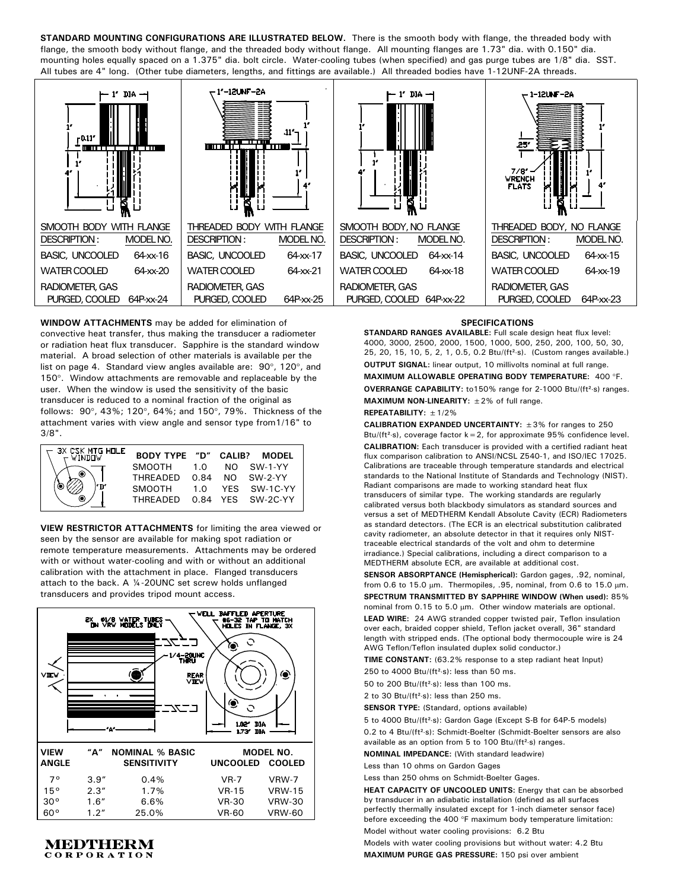**STANDARD MOUNTING CONFIGURATIONS ARE ILLUSTRATED BELOW.** There is the smooth body with flange, the threaded body with flange, the smooth body without flange, and the threaded body without flange. All mounting flanges are 1.73" dia. with 0.150" dia. mounting holes equally spaced on a 1.375" dia. bolt circle. Water-cooling tubes (when specified) and gas purge tubes are 1/8" dia. SST. All tubes are 4" long. (Other tube diameters, lengths, and fittings are available.) All threaded bodies have 1-12UNF-2A threads.



**WINDOW ATTACHMENTS** may be added for elimination of convective heat transfer, thus making the transducer a radiometer or radiation heat flux transducer. Sapphire is the standard window material. A broad selection of other materials is available per the list on page 4. Standard view angles available are: 90°, 120°, and 150°. Window attachments are removable and replaceable by the user. When the window is used the sensitivity of the basic transducer is reduced to a nominal fraction of the original as follows: 90°, 43%; 120°, 64%; and 150°, 79%. Thickness of the attachment varies with view angle and sensor type from1/16" to 3/8".

| 3X CSK MTG HOLE<br>$\sim$ WINDOW | <b>BODY TYPE "D" CALIB?</b> |      |     | MODEL        |
|----------------------------------|-----------------------------|------|-----|--------------|
|                                  | SMOOTH                      | 1 O  |     | $NO$ SW-1-YY |
|                                  | <b>THRFADED</b>             | 0.84 | NO. | SW-2-YY      |
|                                  | SMOOTH                      | 1.0  |     | YFS SW-1C-YY |
|                                  | <b>THREADED</b>             | 0.84 |     | YFS SW-2C-YY |

**VIEW RESTRICTOR ATTACHMENTS** for limiting the area viewed or seen by the sensor are available for making spot radiation or remote temperature measurements. Attachments may be ordered with or without water-cooling and with or without an additional calibration with the attachment in place. Flanged transducers attach to the back. A ¼-20UNC set screw holds unflanged transducers and provides tripod mount access.



# **MEDTHERM** CORPORATION

#### **SPECIFICATIONS**

**STANDARD RANGES AVAILABLE:** Full scale design heat flux level: 4000, 3000, 2500, 2000, 1500, 1000, 500, 250, 200, 100, 50, 30, 25, 20, 15, 10, 5, 2, 1, 0.5, 0.2 Btu/(ft²⋅s). (Custom ranges available.) **OUTPUT SIGNAL:** linear output, 10 millivolts nominal at full range. **MAXIMUM ALLOWABLE OPERATING BODY TEMPERATURE:** 400 °F. **OVERRANGE CAPABILITY:** to150% range for 2-1000 Btu/(ft²⋅s) ranges. **MAXIMUM NON-LINEARITY:** ±2% of full range.

#### **REPEATABILITY:** ±1/2%

**CALIBRATION EXPANDED UNCERTAINTY:** ±3% for ranges to 250 Btu/(ft<sup>2</sup>⋅s), coverage factor  $k=2$ , for approximate 95% confidence level. **CALIBRATION:** Each transducer is provided with a certified radiant heat flux comparison calibration to ANSI/NCSL Z540-1, and ISO/IEC 17025. Calibrations are traceable through temperature standards and electrical standards to the National Institute of Standards and Technology (NIST). Radiant comparisons are made to working standard heat flux transducers of similar type. The working standards are regularly calibrated versus both blackbody simulators as standard sources and versus a set of MEDTHERM Kendall Absolute Cavity (ECR) Radiometers as standard detectors. (The ECR is an electrical substitution calibrated cavity radiometer, an absolute detector in that it requires only NISTtraceable electrical standards of the volt and ohm to determine irradiance.) Special calibrations, including a direct comparison to a MEDTHERM absolute ECR, are available at additional cost.

**SENSOR ABSORPTANCE (Hemispherical):** Gardon gages, .92, nominal, from 0.6 to 15.0  $\mu$ m. Thermopiles, .95, nominal, from 0.6 to 15.0  $\mu$ m. **SPECTRUM TRANSMITTED BY SAPPHIRE WINDOW (When used):** 85% nominal from 0.15 to 5.0 µm. Other window materials are optional.

**LEAD WIRE:** 24 AWG stranded copper twisted pair, Teflon insulation over each, braided copper shield, Teflon jacket overall, 36" standard length with stripped ends. (The optional body thermocouple wire is 24 AWG Teflon/Teflon insulated duplex solid conductor.)

**TIME CONSTANT:** (63.2% response to a step radiant heat Input)

250 to 4000 Btu/(ft<sup>2</sup>⋅s): less than 50 ms.

50 to 200 Btu/(ft<sup>2</sup>⋅s): less than 100 ms.

2 to 30 Btu/(ft<sup>2</sup>·s): less than 250 ms.

**SENSOR TYPE:** (Standard, options available)

5 to 4000 Btu/(ft²⋅s): Gardon Gage (Except S-B for 64P-5 models) 0.2 to 4 Btu/(ft²⋅s): Schmidt-Boelter (Schmidt-Boelter sensors are also available as an option from 5 to 100 Btu/(ft<sup>2</sup>⋅s) ranges.

**NOMINAL IMPEDANCE:** (With standard leadwire)

Less than 10 ohms on Gardon Gages

Less than 250 ohms on Schmidt-Boelter Gages.

**HEAT CAPACITY OF UNCOOLED UNITS:** Energy that can be absorbed by transducer in an adiabatic installation (defined as all surfaces perfectly thermally insulated except for 1-inch diameter sensor face) before exceeding the 400 °F maximum body temperature limitation: Model without water cooling provisions: 6.2 Btu

Models with water cooling provisions but without water: 4.2 Btu **MAXIMUM PURGE GAS PRESSURE:** 150 psi over ambient